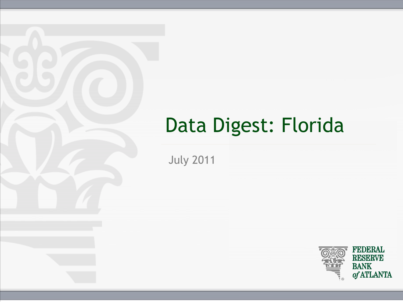## Data Digest: Florida

July 2011

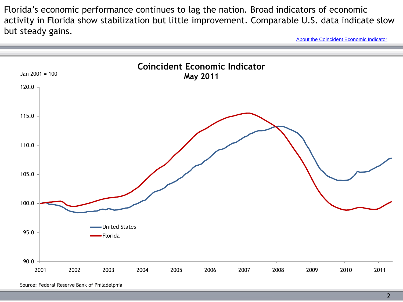Florida's economic performance continues to lag the nation. Broad indicators of economic activity in Florida show stabilization but little improvement. Comparable U.S. data indicate slow but steady gains.

[About the Coincident Economic Indicator](http://www.frbatlanta.org/rein/dataanalysis/about.cfm)



Source: Federal Reserve Bank of Philadelphia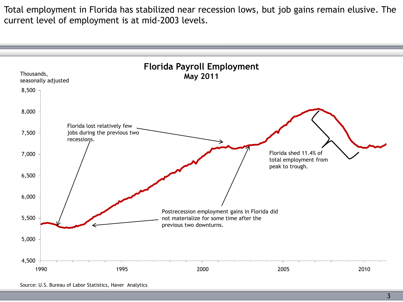Total employment in Florida has stabilized near recession lows, but job gains remain elusive. The current level of employment is at mid-2003 levels.



Source: U.S. Bureau of Labor Statistics, Haver Analytics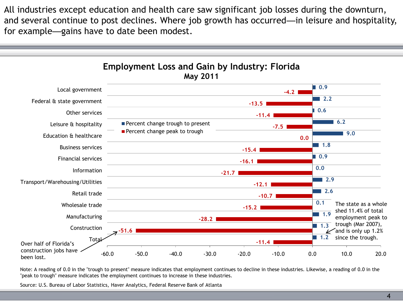All industries except education and health care saw significant job losses during the downturn, and several continue to post declines. Where job growth has occurred—in leisure and hospitality, for example—gains have to date been modest.



Note: A reading of 0.0 in the "trough to present" measure indicates that employment continues to decline in these industries. Likewise, a reading of 0.0 in the "peak to trough" measure indicates the employment continues to increase in these industries.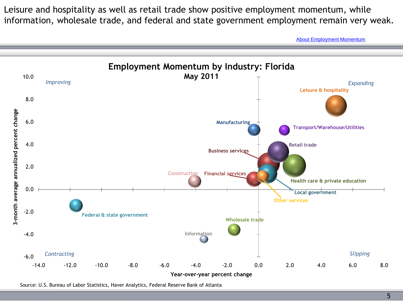Leisure and hospitality as well as retail trade show positive employment momentum, while information, wholesale trade, and federal and state government employment remain very weak.

[About](http://www.frbatlanta.org/rein/dataanalysis/about.cfm) [Employment Momentum](http://www.frbatlanta.org/rein/dataanalysis/about.cfm)

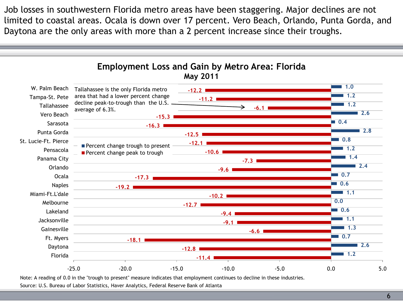Job losses in southwestern Florida metro areas have been staggering. Major declines are not limited to coastal areas. Ocala is down over 17 percent. Vero Beach, Orlando, Punta Gorda, and Daytona are the only areas with more than a 2 percent increase since their troughs.

![](_page_5_Figure_1.jpeg)

Note: A reading of 0.0 in the "trough to present" measure indicates that employment continues to decline in these industries.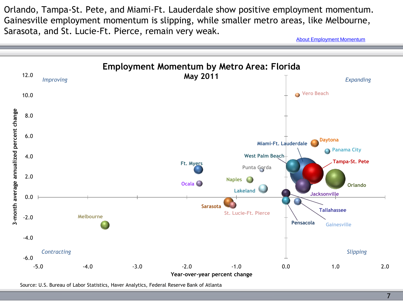Orlando, Tampa-St. Pete, and Miami-Ft. Lauderdale show positive employment momentum. Gainesville employment momentum is slipping, while smaller metro areas, like Melbourne, Sarasota, and St. Lucie-Ft. Pierce, remain very weak.

[About](http://www.frbatlanta.org/rein/dataanalysis/about.cfm) [Employment Momentum](http://www.frbatlanta.org/rein/dataanalysis/about.cfm)

![](_page_6_Figure_2.jpeg)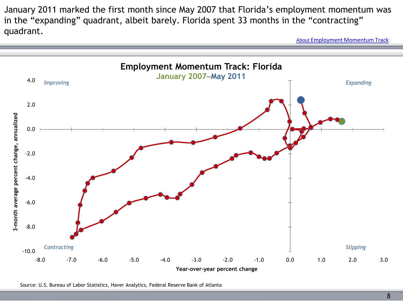January 2011 marked the first month since May 2007 that Florida's employment momentum was in the "expanding" quadrant, albeit barely. Florida spent 33 months in the "contracting" quadrant.

[About](http://www.frbatlanta.org/rein/dataanalysis/about.cfm) [Employment Momentum Track](http://www.frbatlanta.org/rein/dataanalysis/about.cfm)

![](_page_7_Figure_2.jpeg)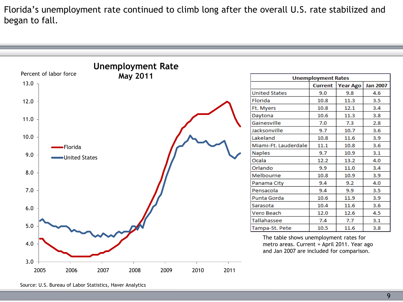Florida's unemployment rate continued to climb long after the overall U.S. rate stabilized and began to fall.

![](_page_8_Figure_1.jpeg)

Source: U.S. Bureau of Labor Statistics, Haver Analytics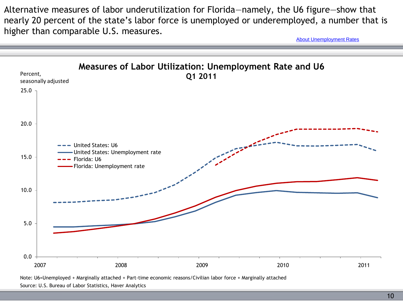Alternative measures of labor underutilization for Florida—namely, the U6 figure—show that nearly 20 percent of the state's labor force is unemployed or underemployed, a number that is higher than comparable U.S. measures.

[About Unemployment Rates](http://www.frbatlanta.org/rein/dataanalysis/about.cfm)

![](_page_9_Figure_2.jpeg)

Note: U6=Unemployed + Marginally attached + Part-time economic reasons/Civilian labor force + Marginally attached Source: U.S. Bureau of Labor Statistics, Haver Analytics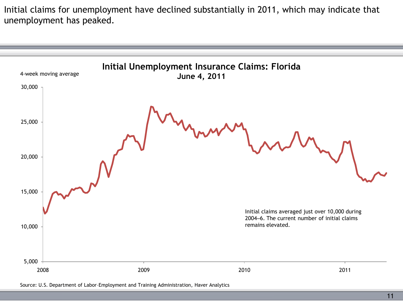Initial claims for unemployment have declined substantially in 2011, which may indicate that unemployment has peaked.

![](_page_10_Figure_1.jpeg)

Source: U.S. Department of Labor–Employment and Training Administration, Haver Analytics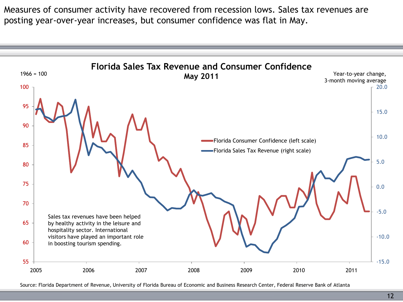Measures of consumer activity have recovered from recession lows. Sales tax revenues are posting year-over-year increases, but consumer confidence was flat in May.

![](_page_11_Figure_1.jpeg)

Source: Florida Department of Revenue, University of Florida Bureau of Economic and Business Research Center, Federal Reserve Bank of Atlanta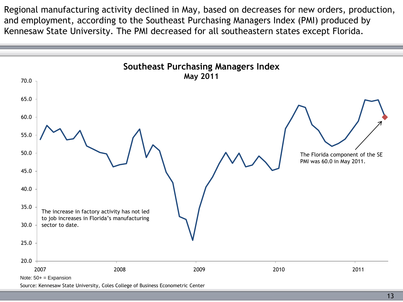Regional manufacturing activity declined in May, based on decreases for new orders, production, and employment, according to the Southeast Purchasing Managers Index (PMI) produced by Kennesaw State University. The PMI decreased for all southeastern states except Florida.

![](_page_12_Figure_1.jpeg)

Source: Kennesaw State University, Coles College of Business Econometric Center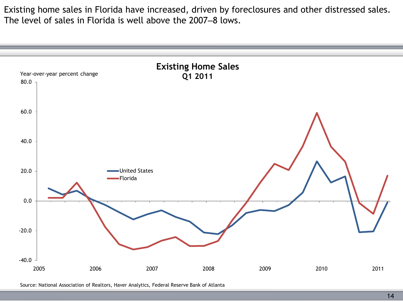Existing home sales in Florida have increased, driven by foreclosures and other distressed sales. The level of sales in Florida is well above the 2007–8 lows.

![](_page_13_Figure_1.jpeg)

Source: National Association of Realtors, Haver Analytics, Federal Reserve Bank of Atlanta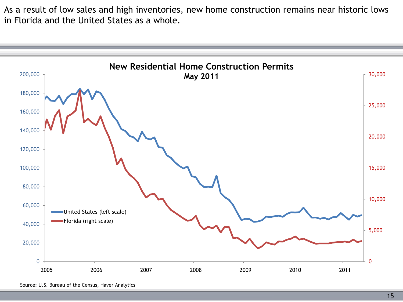As a result of low sales and high inventories, new home construction remains near historic lows in Florida and the United States as a whole.

![](_page_14_Figure_1.jpeg)

Source: U.S. Bureau of the Census, Haver Analytics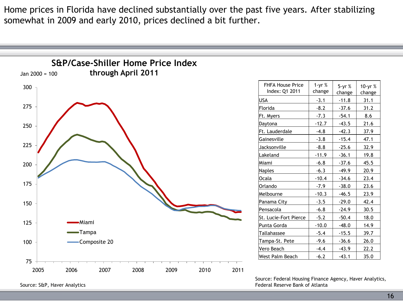Home prices in Florida have declined substantially over the past five years. After stabilizing somewhat in 2009 and early 2010, prices declined a bit further.

![](_page_15_Figure_1.jpeg)

Source: S&P, Haver Analytics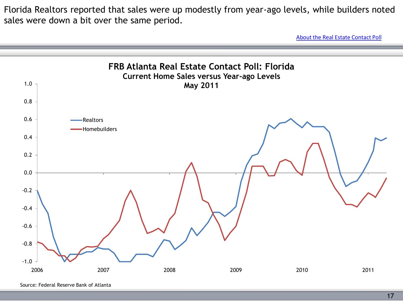Florida Realtors reported that sales were up modestly from year-ago levels, while builders noted sales were down a bit over the same period.

[About the Real Estate Contact Poll](http://www.frbatlanta.org/rein/dataanalysis/about.cfm)

![](_page_16_Figure_2.jpeg)

Source: Federal Reserve Bank of Atlanta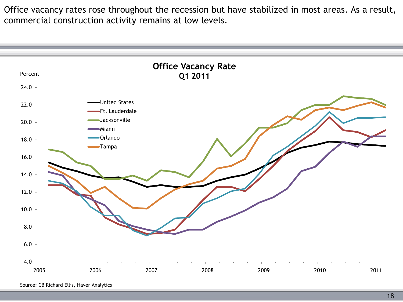Office vacancy rates rose throughout the recession but have stabilized in most areas. As a result, commercial construction activity remains at low levels.

![](_page_17_Figure_1.jpeg)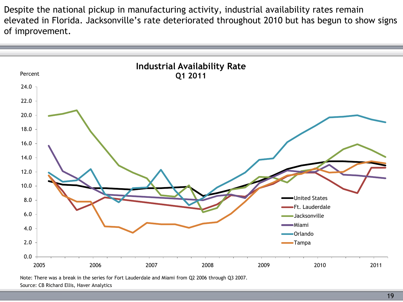Despite the national pickup in manufacturing activity, industrial availability rates remain elevated in Florida. Jacksonville's rate deteriorated throughout 2010 but has begun to show signs of improvement.

![](_page_18_Figure_1.jpeg)

Note: There was a break in the series for Fort Lauderdale and Miami from Q2 2006 through Q3 2007. Source: CB Richard Ellis, Haver Analytics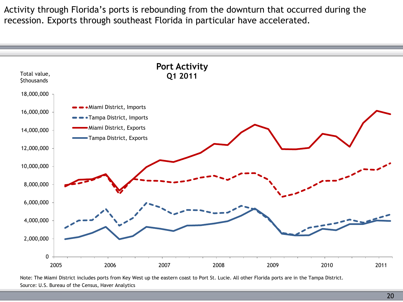Activity through Florida's ports is rebounding from the downturn that occurred during the recession. Exports through southeast Florida in particular have accelerated.

![](_page_19_Figure_1.jpeg)

Note: The Miami District includes ports from Key West up the eastern coast to Port St. Lucie. All other Florida ports are in the Tampa District. Source: U.S. Bureau of the Census, Haver Analytics